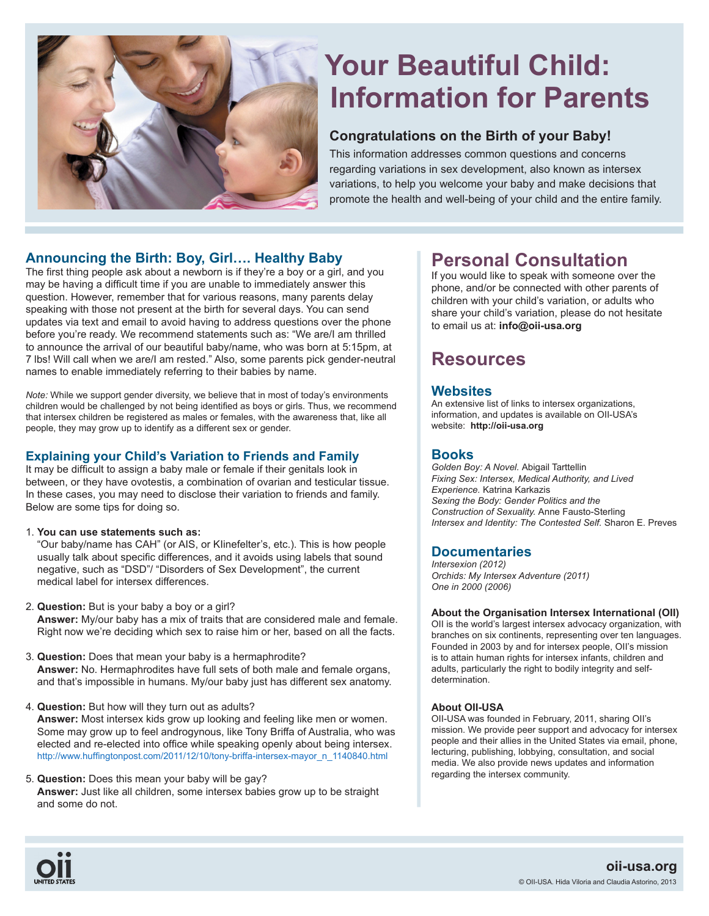

# **Your Beautiful Child: Information for Parents**

# **Congratulations on the Birth of your Baby!**

This information addresses common questions and concerns regarding variations in sex development, also known as intersex variations, to help you welcome your baby and make decisions that promote the health and well-being of your child and the entire family.

# **Announcing the Birth: Boy, Girl…. Healthy Baby**

The first thing people ask about a newborn is if they're a boy or a girl, and you may be having a difficult time if you are unable to immediately answer this question. However, remember that for various reasons, many parents delay speaking with those not present at the birth for several days. You can send updates via text and email to avoid having to address questions over the phone before you're ready. We recommend statements such as: "We are/I am thrilled to announce the arrival of our beautiful baby/name, who was born at 5:15pm, at 7 lbs! Will call when we are/I am rested." Also, some parents pick gender-neutral names to enable immediately referring to their babies by name.

*Note:* While we support gender diversity, we believe that in most of today's environments children would be challenged by not being identifed as boys or girls. Thus, we recommend that intersex children be registered as males or females, with the awareness that, like all people, they may grow up to identify as a different sex or gender.

### **Explaining your Child's Variation to Friends and Family**

It may be difficult to assign a baby male or female if their genitals look in between, or they have ovotestis, a combination of ovarian and testicular tissue. In these cases, you may need to disclose their variation to friends and family. Below are some tips for doing so.

1. **You can use statements such as:**

"Our baby/name has CAH" (or AIS, or KIinefelter's, etc.). This is how people usually talk about specific differences, and it avoids using labels that sound negative, such as "DSD"/ "Disorders of Sex Development", the current medical label for intersex differences.

- 2. **Question:** But is your baby a boy or a girl? **Answer:** My/our baby has a mix of traits that are considered male and female. Right now we're deciding which sex to raise him or her, based on all the facts.
- 3. **Question:** Does that mean your baby is a hermaphrodite? **Answer:** No. Hermaphrodites have full sets of both male and female organs, and that's impossible in humans. My/our baby just has different sex anatomy.
- 4. **Question:** But how will they turn out as adults? **Answer:** Most intersex kids grow up looking and feeling like men or women. Some may grow up to feel androgynous, like Tony Briffa of Australia, who was elected and re-elected into office while speaking openly about being intersex. http://www.huffingtonpost.com/2011/12/10/tony-briffa-intersex-mayor\_n\_1140840.html
- 5. **Question:** Does this mean your baby will be gay? **Answer:** Just like all children, some intersex babies grow up to be straight and some do not.

# **Personal Consultation**

If you would like to speak with someone over the phone, and/or be connected with other parents of children with your child's variation, or adults who share your child's variation, please do not hesitate to email us at: **info@oii-usa.org**

# **Resources**

# **Websites**

An extensive list of links to intersex organizations, information, and updates is available on OII-USA's website: **http://oii-usa.org** 

## **Books**

*Golden Boy: A Novel.* Abigail Tarttellin *Fixing Sex: Intersex, Medical Authority, and Lived Experience.* Katrina Karkazis *Sexing the Body: Gender Politics and the Construction of Sexuality.* Anne Fausto-Sterling *Intersex and Identity: The Contested Self.* Sharon E. Preves

## **Documentaries**

*Intersexion (2012) Orchids: My Intersex Adventure (2011) One in 2000 (2006)*

#### **About the Organisation Intersex International (OII)**

OII is the world's largest intersex advocacy organization, with branches on six continents, representing over ten languages. Founded in 2003 by and for intersex people, OII's mission is to attain human rights for intersex infants, children and adults, particularly the right to bodily integrity and selfdetermination.

#### **About OII-USA**

OII-USA was founded in February, 2011, sharing OII's mission. We provide peer support and advocacy for intersex people and their allies in the United States via email, phone, lecturing, publishing, lobbying, consultation, and social media. We also provide news updates and information regarding the intersex community.